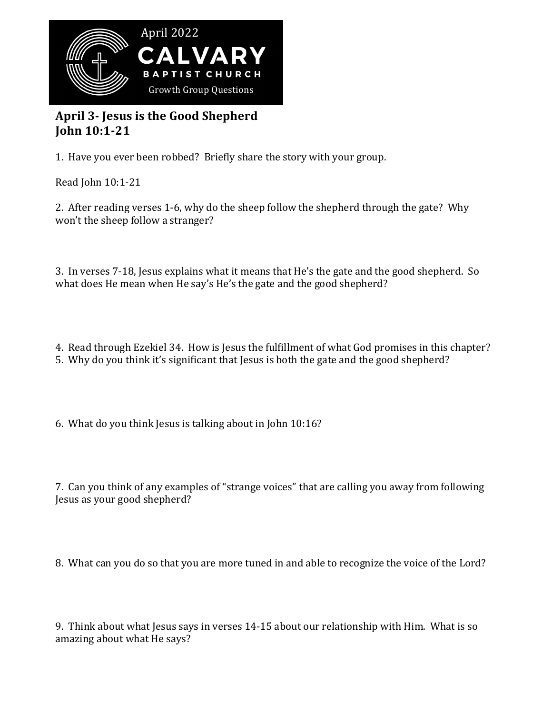

## April 3- Jesus is the Good Shepherd **John 10:1-21**

1. Have you ever been robbed? Briefly share the story with your group.

Read John 10:1-21

2. After reading verses 1-6, why do the sheep follow the shepherd through the gate? Why won't the sheep follow a stranger?

3. In verses 7-18, Jesus explains what it means that He's the gate and the good shepherd. So what does He mean when He say's He's the gate and the good shepherd?

4. Read through Ezekiel 34. How is Jesus the fulfillment of what God promises in this chapter?

5. Why do you think it's significant that Jesus is both the gate and the good shepherd?

6. What do you think Jesus is talking about in John  $10:16$ ?

7. Can you think of any examples of "strange voices" that are calling you away from following Jesus as your good shepherd?

8. What can you do so that you are more tuned in and able to recognize the voice of the Lord?

9. Think about what Jesus says in verses 14-15 about our relationship with Him. What is so amazing about what He says?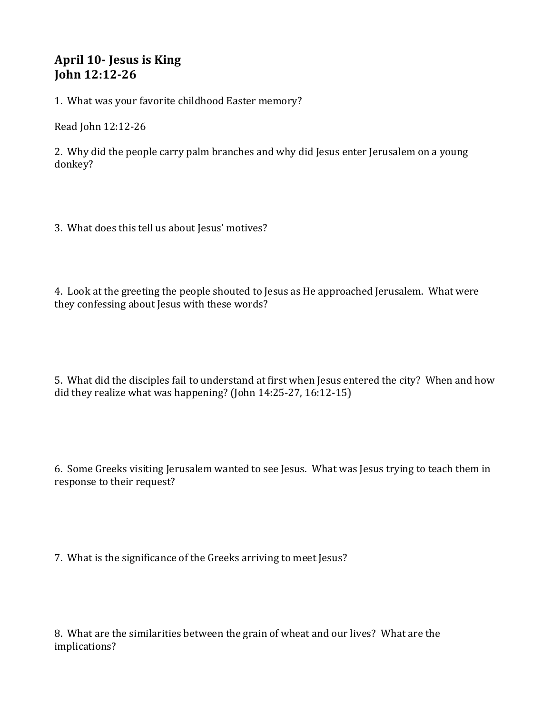## **April 10- Jesus is King John 12:12-26**

1. What was your favorite childhood Easter memory?

Read John 12:12-26

2. Why did the people carry palm branches and why did Jesus enter Jerusalem on a young donkey? 

3. What does this tell us about Jesus' motives?

4. Look at the greeting the people shouted to Jesus as He approached Jerusalem. What were they confessing about Jesus with these words?

5. What did the disciples fail to understand at first when Jesus entered the city? When and how did they realize what was happening? (John  $14:25-27$ ,  $16:12-15$ )

6. Some Greeks visiting Jerusalem wanted to see Jesus. What was Jesus trying to teach them in response to their request?

7. What is the significance of the Greeks arriving to meet Jesus?

8. What are the similarities between the grain of wheat and our lives? What are the implications?